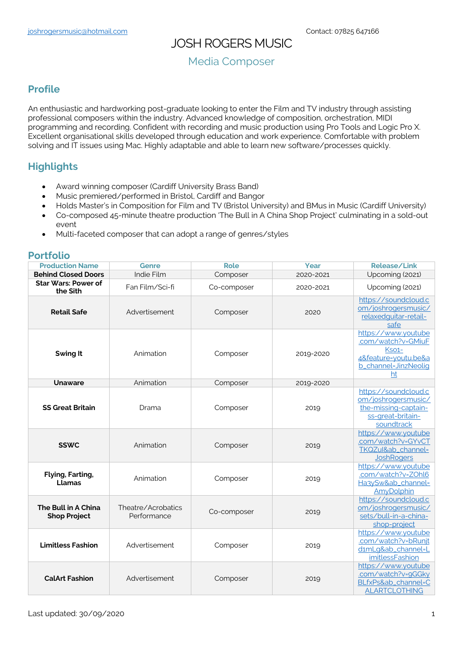# JOSH ROGERS MUSIC

## Media Composer

### **Profile**

An enthusiastic and hardworking post-graduate looking to enter the Film and TV industry through assisting professional composers within the industry. Advanced knowledge of composition, orchestration, MIDI programming and recording. Confident with recording and music production using Pro Tools and Logic Pro X. Excellent organisational skills developed through education and work experience. Comfortable with problem solving and IT issues using Mac. Highly adaptable and able to learn new software/processes quickly.

## **Highlights**

- Award winning composer (Cardiff University Brass Band)
- Music premiered/performed in Bristol, Cardiff and Bangor
- Holds Master's in Composition for Film and TV (Bristol University) and BMus in Music (Cardiff University)
- Co-composed 45-minute theatre production 'The Bull in A China Shop Project' culminating in a sold-out event
- Multi-faceted composer that can adopt a range of genres/styles

#### **Portfolio**

| <b>Production Name</b>                     | Genre                             | <b>Role</b> | Year      | <b>Release/Link</b>                                                                                      |
|--------------------------------------------|-----------------------------------|-------------|-----------|----------------------------------------------------------------------------------------------------------|
| <b>Behind Closed Doors</b>                 | Indie Film                        | Composer    | 2020-2021 | Upcoming (2021)                                                                                          |
| <b>Star Wars: Power of</b><br>the Sith     | Fan Film/Sci-fi                   | Co-composer | 2020-2021 | Upcoming (2021)                                                                                          |
| <b>Retail Safe</b>                         | Advertisement                     | Composer    | 2020      | https://soundcloud.c<br>om/joshrogersmusic/<br>relaxedquitar-retail-<br>safe                             |
| Swing It                                   | Animation                         | Composer    | 2019-2020 | https://www.youtube<br>.com/watch?v=GMiuF<br>Kso1-<br>4&feature=voutu.be&a<br>b_channel-JinzNeolig<br>ht |
| <b>Unaware</b>                             | Animation                         | Composer    | 2019-2020 |                                                                                                          |
| <b>SS Great Britain</b>                    | Drama                             | Composer    | 2019      | https://soundcloud.c<br>om/joshrogersmusic/<br>the-missing-captain-<br>ss-great-britain-<br>soundtrack   |
| <b>SSWC</b>                                | Animation                         | Composer    | 2019      | https://www.youtube<br>.com/watch?v=GYvCT<br>TKQZul&ab_channel=<br><b>JoshRogers</b>                     |
| Flying, Farting,<br>Llamas                 | Animation                         | Composer    | 2019      | https://www.youtube<br>.com/watch?v=ZOhl6<br>Ha3ySw&ab_channel=<br><b>AmyDolphin</b>                     |
| The Bull in A China<br><b>Shop Project</b> | Theatre/Acrobatics<br>Performance | Co-composer | 2019      | https://soundcloud.c<br>om/joshrogersmusic/<br>sets/bull-in-a-china-<br>shop-project                     |
| <b>Limitless Fashion</b>                   | Advertisement                     | Composer    | 2019      | https://www.youtube<br>.com/watch?v=bRunjt<br>d1mLq&ab_channel=L<br><i>imitlessFashion</i>               |
| <b>CalArt Fashion</b>                      | Advertisement                     | Composer    | 2019      | https://www.youtube<br>.com/watch?v=9GGky<br>BLfxPs&ab_channel=C<br><b>ALARTCLOTHING</b>                 |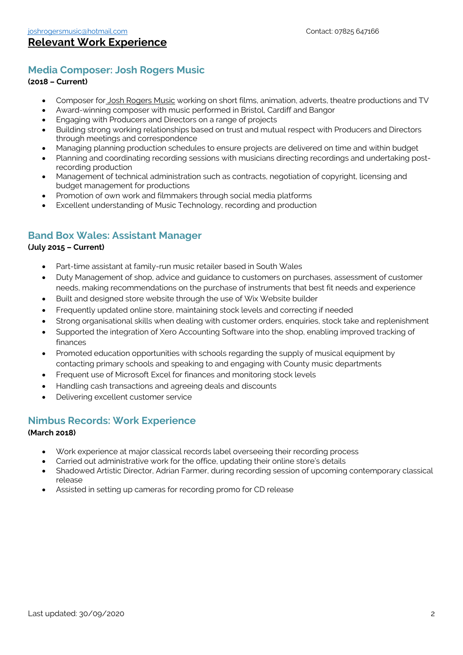## **Media Composer: Josh Rogers Music**

#### **(2018 – Current)**

- Composer for Josh Rogers Music working on short films, animation, adverts, theatre productions and TV
- Award-winning composer with music performed in Bristol, Cardiff and Bangor
- Engaging with Producers and Directors on a range of projects
- Building strong working relationships based on trust and mutual respect with Producers and Directors through meetings and correspondence
- Managing planning production schedules to ensure projects are delivered on time and within budget
- Planning and coordinating recording sessions with musicians directing recordings and undertaking postrecording production
- Management of technical administration such as contracts, negotiation of copyright, licensing and budget management for productions
- Promotion of own work and filmmakers through social media platforms
- Excellent understanding of Music Technology, recording and production

## **Band Box Wales: Assistant Manager**

#### **(July 2015 – Current)**

- Part-time assistant at family-run music retailer based in South Wales
- Duty Management of shop, advice and guidance to customers on purchases, assessment of customer needs, making recommendations on the purchase of instruments that best fit needs and experience
- Built and designed store website through the use of Wix Website builder
- Frequently updated online store, maintaining stock levels and correcting if needed
- Strong organisational skills when dealing with customer orders, enquiries, stock take and replenishment
- Supported the integration of Xero Accounting Software into the shop, enabling improved tracking of finances
- Promoted education opportunities with schools regarding the supply of musical equipment by contacting primary schools and speaking to and engaging with County music departments
- Frequent use of Microsoft Excel for finances and monitoring stock levels
- Handling cash transactions and agreeing deals and discounts
- Delivering excellent customer service

### **Nimbus Records: Work Experience**

#### **(March 2018)**

- Work experience at major classical records label overseeing their recording process
- Carried out administrative work for the office, updating their online store's details
- Shadowed Artistic Director, Adrian Farmer, during recording session of upcoming contemporary classical release
- Assisted in setting up cameras for recording promo for CD release